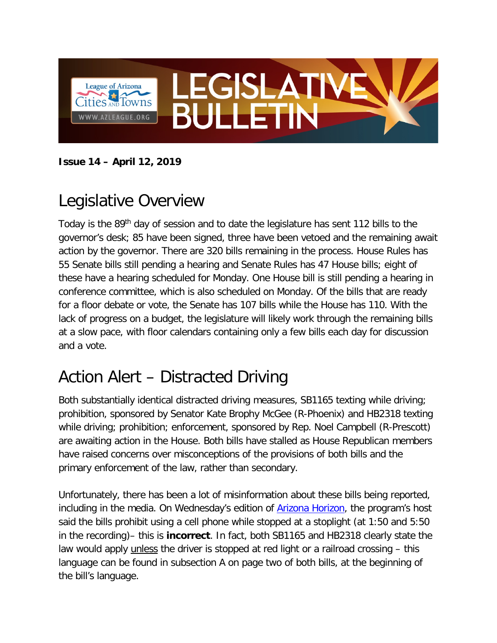

**Issue 14 – April 12, 2019**

## Legislative Overview

Today is the 89th day of session and to date the legislature has sent 112 bills to the governor's desk; 85 have been signed, three have been vetoed and the remaining await action by the governor. There are 320 bills remaining in the process. House Rules has 55 Senate bills still pending a hearing and Senate Rules has 47 House bills; eight of these have a hearing scheduled for Monday. One House bill is still pending a hearing in conference committee, which is also scheduled on Monday. Of the bills that are ready for a floor debate or vote, the Senate has 107 bills while the House has 110. With the lack of progress on a budget, the legislature will likely work through the remaining bills at a slow pace, with floor calendars containing only a few bills each day for discussion and a vote.

## Action Alert – Distracted Driving

Both substantially identical distracted driving measures, SB1165 texting while driving; prohibition, sponsored by Senator Kate Brophy McGee (R-Phoenix) and HB2318 texting while driving; prohibition; enforcement, sponsored by Rep. Noel Campbell (R-Prescott) are awaiting action in the House. Both bills have stalled as House Republican members have raised concerns over misconceptions of the provisions of both bills and the primary enforcement of the law, rather than secondary.

Unfortunately, there has been a lot of misinformation about these bills being reported, including in the media. On Wednesday's edition of **Arizona Horizon**, the program's host said the bills prohibit using a cell phone while stopped at a stoplight (at 1:50 and 5:50 in the recording)– this is **incorrect**. In fact, both SB1165 and HB2318 clearly state the law would apply unless the driver is stopped at red light or a railroad crossing – this language can be found in subsection A on page two of both bills, at the beginning of the bill's language.